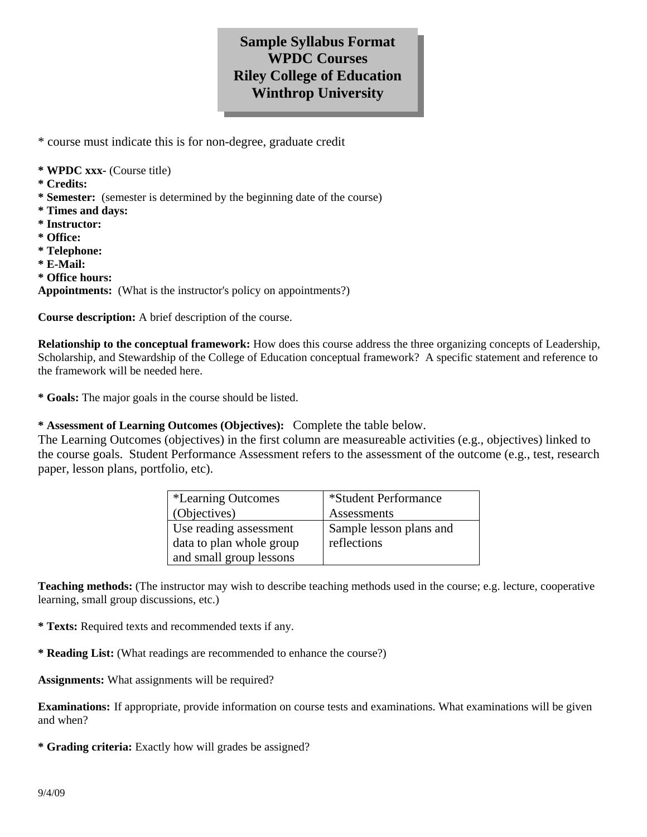## **Sample Syllabus Format WPDC Courses Riley College of Education Winthrop University**

\* course must indicate this is for non-degree, graduate credit

- **\* WPDC xxx-** (Course title)
- **\* Credits:**
- **\* Semester:** (semester is determined by the beginning date of the course)
- **\* Times and days:**
- **\* Instructor:**
- **\* Office:**
- **\* Telephone:**
- **\* E-Mail:**
- **\* Office hours:**

**Appointments:** (What is the instructor's policy on appointments?)

**Course description:** A brief description of the course.

**Relationship to the conceptual framework:** How does this course address the three organizing concepts of Leadership, Scholarship, and Stewardship of the College of Education conceptual framework? A specific statement and reference to the framework will be needed here.

**\* Goals:** The major goals in the course should be listed.

**\* Assessment of Learning Outcomes (Objectives):** Complete the table below.

The Learning Outcomes (objectives) in the first column are measureable activities (e.g., objectives) linked to the course goals. Student Performance Assessment refers to the assessment of the outcome (e.g., test, research paper, lesson plans, portfolio, etc).

| <i>*Learning Outcomes</i> | *Student Performance    |
|---------------------------|-------------------------|
| (Objectives)              | Assessments             |
| Use reading assessment    | Sample lesson plans and |
| data to plan whole group  | reflections             |
| and small group lessons   |                         |

**Teaching methods:** (The instructor may wish to describe teaching methods used in the course; e.g. lecture, cooperative learning, small group discussions, etc.)

**\* Texts:** Required texts and recommended texts if any.

**\* Reading List:** (What readings are recommended to enhance the course?)

**Assignments:** What assignments will be required?

**Examinations:** If appropriate, provide information on course tests and examinations. What examinations will be given and when?

**\* Grading criteria:** Exactly how will grades be assigned?